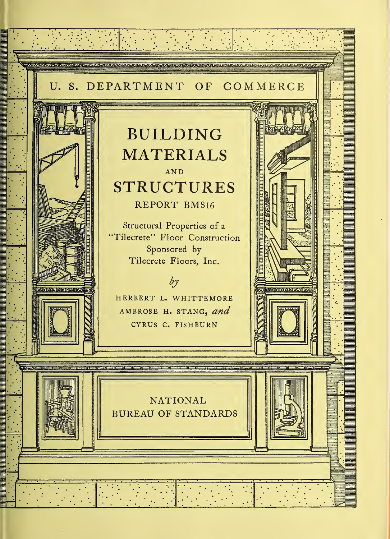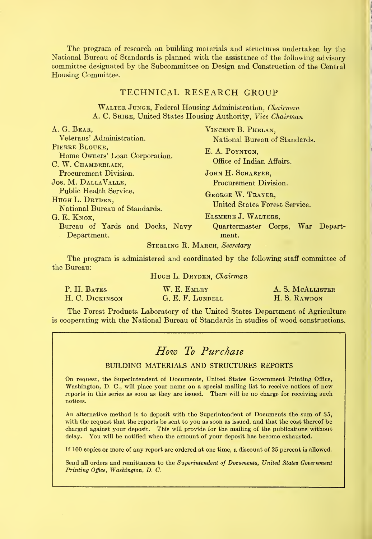The program of research on building materials and structures undertaken by the National Bureau of Standards is planned with the assistance of the following advisory committee designated by the Subcommittee on Design and Construction of the Central Housing Committee.

### TECHNICAL RESEARCH GROUP

Walter Junge, Federal Housing Administration, Chairman A. C. SHIRE, United States Housing Authority, Vice Chairman

| A. G. BEAR,                                                                | VINCENT B. PHELAN,                                 |
|----------------------------------------------------------------------------|----------------------------------------------------|
| Veterans' Administration.                                                  | National Bureau of Standards.                      |
| PIERRE BLOUKE,<br>Home Owners' Loan Corporation.<br>C. W. CHAMBERLAIN,     | E. A. POYNTON,<br>Office of Indian Affairs.        |
| Procurement Division.                                                      | JOHN H. SCHAEFER,                                  |
| JOS. M. DALLAVALLE,                                                        | Procurement Division.                              |
| Public Health Service.<br>HUGH L. DRYDEN,<br>National Bureau of Standards. | GEORGE W. TRAYER,<br>United States Forest Service. |
| G. E. KNOX,                                                                | ELSMERE J. WALTERS,                                |
| Bureau of Yards and Docks, Navy<br>Department.                             | Quartermaster Corps, War Depart-<br>ment.          |
| $C_{\text{mnp}true}$ D $M_{\text{tpart}}$ $C_{\text{candam}}$              |                                                    |

#### STERLING R. MARCH, Secretary

The program is administered and coordinated by the following staff committee of the Bureau:

#### HUGH L. DRYDEN, Chairman

| P. H. BATES     | W. E. EMLEY      | A. S. MCALLISTER |
|-----------------|------------------|------------------|
| H. C. DICKINSON | G. E. F. LUNDELL | H. S. RAWDON     |

The Forest Products Laboratory of the United States Department of Agriculture is cooperating with the National Bureau of Standards in studies of wood constructions.

# How To Purchase

#### BUILDING MATERIALS AND STRUCTURES REPORTS

On request, the Superintendent of Documents, United States Government Printing Office, Washington, D. C, will place your name on a special mailing list to receive notices of new reports in this series as soon as they are issued. There will be no charge for receiving such notices.

An alternative method is to deposit with the Superintendent of Documents the sum of \$5, with the request that the reports be sent to you as soon as issued, and that the cost thereof be charged against your deposit. This wiU provide for the mailing of the publications without delay. You wiU be notified when the amount of your deposit has become exhausted.

If 100 copies ov more of any report are ordered at one time, a discount of 25 percent is allowed.

Send all orders and remittances to the Superintendent of Documents, United States Government Printing Office, Washington, D. C.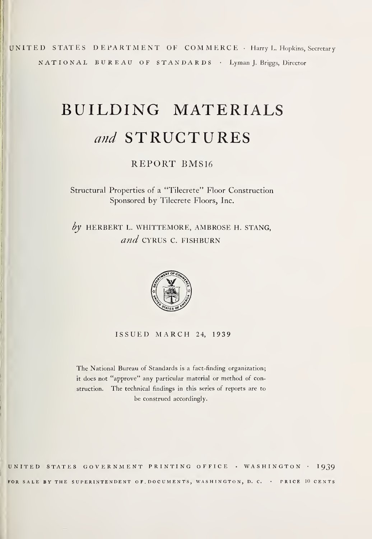UNITED STATES DEPARTMENT OF COMMERCE • Harry L. Hopkins, Secretary NATIONAL BUREAU OF STANDARDS • Lyman J. Briggs, Director

# BUILDING MATERIALS and STRUCTURES

# REPORT BMS16

Structural Properties of a "Tilecrete" Floor Construction Sponsored by Tilecrete Floors, Inc.

 $by$  HERBERT L. WHITTEMORE, AMBROSE H. STANG, and CYRUS C. FISHBURN



ISSUED MARCH 24, 1939

The National Bureau of Standards is a fact-finding organization; it does not "approve" any particular material or method of construction. The technical findings in this series of reports are to be construed accordingly.

UNITED STATES GOVERNMENT PRINTING OFFICE • WASHINGTON • 1939 FOR SALE BY THE SUPERINTENDENT OF DOCUMENTS, WASHINGTON, D. C. · PRICE 10 CENTS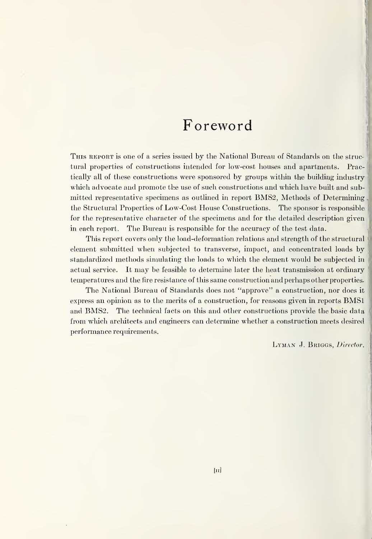# Foreword

This report is one of a series issued by the National Bureau of Standards on the struc tural properties of constructions intended for low-cost houses and apartments. Practically aU of these constructions were sponsored by groups within the building industry which advocate and promote the use of such constructions and which have built and submitted representative specimens as outlined in report BMS2, Methods of Deterrnining the Structural Properties of Low-Cost House Constructions. The sponsor is responsible for the representative character of the specimens and for the detailed description given in each report. The Bureau is responsible for the accuracy of the test data.

This report covers only the load-deformation relations and strength of the structural ' element submitted when subjected to transverse, impact, and concentrated loads by standardized methods simulating the loads to which the element would be subjected in actual service. It may be feasible to determine later the heat transmission at ordinary temperatures and the fire resistance of tliis same construction and perhaps other properties.

The National Bureau of Standards does not "approve" a construction, nor does it express an opinion as to the merits of <sup>a</sup> construction, for reasons given in reports BMSl and BMS2. The technical facts on this and other constructions provide the basic data from which architects and engineers can determine whether a construction meets desired performance requirements.

LYMAN J. BRIGGS, Director.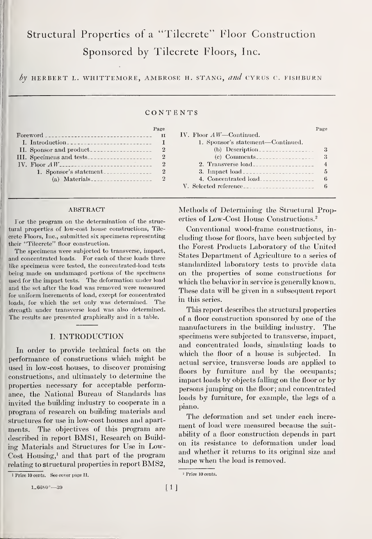# Structural Properties of a "Tilecrete" Floor Construction Sponsored by Tilecrete Floors, Inc.

by HERBERT L. WHITTEMORE, AMBROSE H. STANG, and CYRUS C. FISHBURN

#### CONTENTS

|                                              | Page |
|----------------------------------------------|------|
| Foreword ___________________________________ |      |
| I. Introduction                              |      |
|                                              | 2    |
|                                              | 2    |
|                                              |      |
| 1. Sponsor's statement                       | 2    |
|                                              |      |

#### **ABSTRACT**

<sup>i</sup> For the program on the determination of the structural properties of low-cost house constructions, Tilecrete Floors, Inc., submitted six specimens representing their "Tilecrete" floor construction.

The specimens were subjected to transverse, impact, and concentrated loads. For each of these loads three like specimens were tested, the concentrated-load tests being made on undamaged portions of the specimens used for the impact tests. The deformation under load and the set after the load was removed were measured for uniform increments of load, except for concentrated loads, for which the set only was determined. The strength under transverse load was also determined. The results are presented graphically and in a table.

#### I. INTRODUCTION

In order to provide teclmical facts on the performance of constructions wliich might be used in low-cost houses, to discover promisingconstructions, and ultimately to determine the properties necessary for acceptable performance, the National Bureau of Standards has invited the building industry to cooperate in a program of research on building materials and structures for use in low-cost houses and apartments. The objectives of this program are described in report BMSl, Research on Building Materials and Structures for Use in Low-Cost Housing,<sup>1</sup> and that part of the program relating to structural properties in report BMS2,

| IV. Floor $AW$ —Continued.              |   |
|-----------------------------------------|---|
| 1. Sponsor's statement—Continued.       |   |
| (b) Description                         |   |
| $(e)$ Comments                          | 3 |
| 2. Transverse load                      | 4 |
| 3. Inpact load_________________________ | 5 |
| 4. Concentrated load                    | 6 |
| V. Selected reference                   | 6 |
|                                         |   |

Page

Methods of Determining the Structural Properties of Low-Cost House Constructions.^

Conventional wood-frame constructions, in cluding those for floors, have been subjected by the Forest Products Laboratory of the United States Department of Agriculture to a series of standardized laboratory tests to provide data on the properties of some constructions for which the behavior in service is generally known. These data will be given in a subsequent report in this series.

This report describes the structural properties of a floor construction sponsored by one of the manufacturers in the building industry. The specimens were subjected to transverse, impact, and concentrated loads, simulating loads to which the floor of a house is subjected. In actual service, transverse loads are applied to floors by furniture and by the occupants; impact loads by objects falling on the floor or by persons jumping on the floor; and concentrated loads by furniture, for example, the legs of a piano.

The deformation and set under each increment of load were measured because the suitability of a floor construction depends in part on its resistance to deformation under load and whether it returns to its original size and shape when the load is removed.

<sup>1</sup> Price 10 cents. See cover page II.  $1.6680^{\circ} - 39$  [1]

<sup>2</sup> Price 10 cents.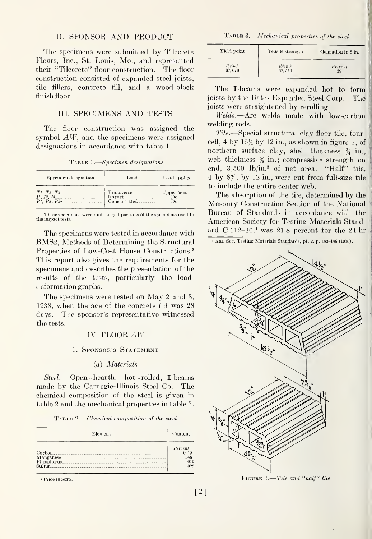#### II. SPONSOR AND PRODUCT

The specimens were submitted by Tilecrete Floors, Inc., St. Louis, Mo., and represented their "Tilecrete" floor construction. The floor construction consisted of expanded steel joists, tile fillers, concrete fill, and a wood-block finish floor.

#### III. SPECIMENS AND TESTS

The floor construction was assigned the symbol AW, and the specimens were assigned designations in accordance with table 1.

Table 1. Specimen designations

| Specimen designation                                                                                                          | Load | Load applied |
|-------------------------------------------------------------------------------------------------------------------------------|------|--------------|
| T1, T2, T3<br>$\begin{array}{ l l }\nI_1, I_2, I_3, \ldots \\ P_1, P_2, P_3, \ldots \\ \end{array}$ Proposed and Concentrated |      | Do.          |

" These specimens were undamaged portions of the specimens used fo the impact tests.

The specimens were tested in accordance with BMS2, Methods of Determining the Structural Properties of Low-Cost House Constructions.<sup>3</sup> This report also gives the requirements for the specimens and describes the presentation of the results of the tests, particularly the loaddeformation graphs.

The specimens were tested on May 2 and 3, 1938, when the age of the concrete fill was 28 days. The sponsor's representative witnessed the tests.

#### IV. FLOOR AW

#### 1. Sponsor's Statement

#### (a) Materials

 $Steel.$  - Open - hearth, hot - rolled, **I**-beams made by the Carnegie-Ilhnois Steel Co. The chemical composition of the steel is given in table 2 and the mechanical properties in table 3

TABLE 2.—Chemical composition of the steel  $\hspace{0.1mm}$ 

| Element | Content     |
|---------|-------------|
|         | Percent     |
|         | 0.19<br>.46 |
|         | .010        |
|         | - 028       |

<sup>2</sup> Price 10 cents.

TABLE 3.—Mechanical properties of the steel

| Yield point | Teusile strength | Elongation in 8 in. |
|-------------|------------------|---------------------|
| lb/in.2     | lb/in.2          | Percent             |
| 37,070      | 62, 540          | 29                  |

The I-beams were expanded hot to form joists by the Bates Expanded Steel Corp. The joists were straightened by rerolling.

Welds.—Arc welds made with low-carbon welding rods.

Tile.—Special structural clay floor tile, fourcell, 4 by  $16\frac{1}{2}$  by 12 in., as shown in figure 1, of northern surface clay, shell thickness  $\frac{3}{4}$  in., web thickness  $\frac{5}{8}$  in.; compressive strength on end, 3,500 lb/in.<sup>2</sup> of net area. "Half" tile,  $4 \text{ by } 8\%$  by  $12 \text{ in.}$ , were cut from full-size tile to include the entire center web.

The absorption of the tile, determined by the Masonry Construction Section of the National Bureau of Standards in accordance with the American Society for Testing Materials Standard C 112-36,<sup> $\pm$ </sup> was 21.8 percent for the 24-hr

<sup>4</sup> Am. Soc. Testing Materials Standards, pt. 2, p. 183-186 (1936).



FIGURE 1.—*Tile and "half" tile*.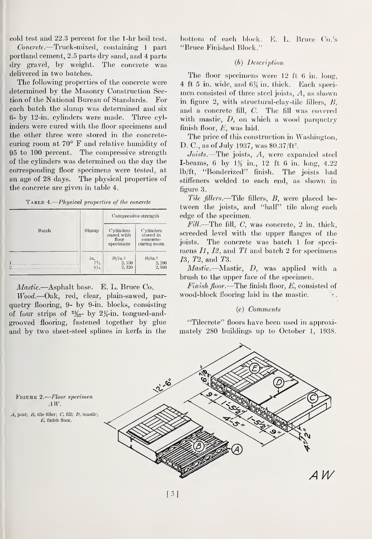cold test and 22.3 percent for the 1-hr boil test.

Concrete.—Truck-mixed, containing <sup>1</sup> part Portland cement, 2.5 parts dry sand, and 4 parts dry gravel, by weight. The concrete was delivered in two batches.

The following properties of the concrete were determined by the Masonry Construction Section of the National Bureau of Standards. For each batch the slump was determined and six 6- by 12-in. cylinders were made. Three cylinders were cured with the floor specimens and the other three were stored in the concrete curing room at 70° F and relative humidity of 95 to 100 percent. The compressive strength of the cylinders was determined on the day the corresponding floor specimens were tested, at an age of 28 days. The physical properties of the concrete are given in table 4.

| TABLE 4.— Physical properties of the concrete |  |  |  |  |
|-----------------------------------------------|--|--|--|--|
|-----------------------------------------------|--|--|--|--|

|          |                                     | Compressive strength                          |                                                    |  |
|----------|-------------------------------------|-----------------------------------------------|----------------------------------------------------|--|
| Batch    | Slump                               | Cylinders<br>cured with<br>floor<br>specimens | Cylinders<br>stored in<br>concrete-<br>curing room |  |
| $\Omega$ | $\frac{i n}{734}$<br>$8\frac{1}{4}$ | $\frac{lb/in.^2}{2,150}$<br>2,320             | lb/in.2<br>2,290<br>2,930                          |  |

Mastic.—Asphalt base. E. L. Bruce Co.

Wood.—Oak, red, clear, plain-sawed, parquetry flooring, 9- by 9-in. blocks, consisting of four strips of  $\frac{2\frac{5}{2}}{2}$  by  $2\frac{1}{4}$ -in. tongued-andgrooved flooring, fastened together by glue and by two sheet-steel splines in kerfs in the

bottom of each block. E. L. Bruce Co.'s "Bruce Finished Block."

#### (6) Description

The floor specimens were 12 ft <sup>6</sup> in. long, 4 ft 5 in. wide, and 6% in. thick. Each specimen consisted of three steel joists. A, as shown in figure 2, with structural-clay-tilc fillers, B, and a concrete fill, C. The fill was covered with mastic,  $D$ , on which a wood parquetry finish floor, E, was laid.

The price of this construction in Waslungton, D. C., as of July 1937, was  $$0.37/ft^2$ .

 $Joists$ .—The joists,  $A$ , were expanded steel **I-beams, 6 by 1** $\frac{1}{2}$  in., 12 ft 6 in. long, 4.22 lb/ft, "Bonderized" finish. The joists had stiffeners welded to each end, as shown in figure 3.

Tile fillers.—Tile fillers, B, were placed between the joists, and "half" tile along each edge of the specimen.

 $Fill$ —The fill,  $C$ , was concrete, 2 in. thick, screeded level with the upper flanges of the joists. The concrete was batch <sup>1</sup> for speci mens  $I_1$ ,  $I_2$ , and  $T_1$  and batch 2 for specimens 13, T<sub>2</sub>, and T<sub>3</sub>.

Mastic.—Mastic, D, was applied with <sup>a</sup> brush to the upper face of the specimen.

Finish floor.—The finish floor,  $E$ , consisted of wood-block flooring laid in the mastic.  $\mathcal{L}$ 

#### (c) Comments

"Tilecrete" floors have been used in approximately 280 buildings up to October 1, 1938.

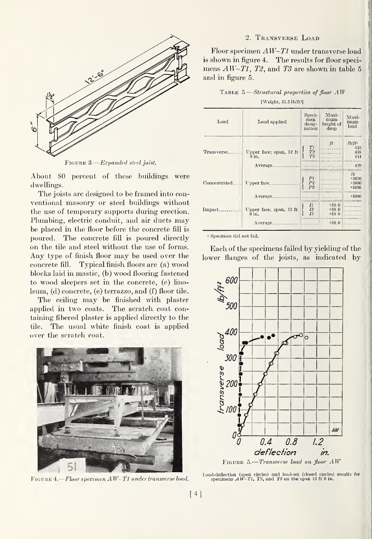

FIGURE 3.—*Expanded steel joist*.

About 80 percent of these buildings were dwellings.

The joists are designed to be framed into con ventional masonry or steel buildings without the use of temporary supports during erection. Plumbing, electric conduit, and air ducts may be placed in the floor before the concrete fill is poured. The concrete fill is poured directly on the tile and steel without the use of forms. Any type of finish floor may be used over the concrete fill. Typical finish floors are (a) wood blocks laid in mastic, (b) wood flooring fastened to wood sleepers set in the concrete, (c) linoleum, (d) concrete, (e) terrazzo, and (f) floor tile.

The ceiling may be finished with plaster applied in two coats. The scratch coat containing fibered plaster is applied directly to the tile. The usual white finish coat is applied over the scratch coat.



Figure 4. Floor specimen AW-Tl under transverse load.

#### 2. Transverse Load

Floor specimen AW-Tl under transverse load is shown in figure 4. The results for floor speci mens  $AW-T1$ , T2, and T3 are shown in table 5 and in figure 5.

TABLE 5.—Structural properties of floor  $AW$ [Weight, 51.51b/ft2]

| Load          | Load applied                                   | Speci-<br>men<br>desig-<br>nation       | Maxi-<br>mum<br>height of<br>drop | Maxi<br>mum<br>load                    |
|---------------|------------------------------------------------|-----------------------------------------|-----------------------------------|----------------------------------------|
| Transverse.   | Upper face; span, 12 ft<br>$0$ in.             | T1<br>T2<br>T3                          | ft                                | $lb/ft^2$<br>435<br>438<br>444         |
| Concentrated. | Average.<br>Upper face_                        | $_{P2}^{P1}$<br>P3                      |                                   | 439<br>lb<br>a1000<br>a1000<br>$*1000$ |
| Impact.       | Average.<br>Upper face; span, 12 ft<br>$0$ in. | I1<br>$\overline{I2}$<br>I <sup>3</sup> | $*10.0$<br>a10.0<br>a10.0         | a1000                                  |
|               | Average.                                       |                                         | $*10.0$                           |                                        |

<sup>a</sup> Specimen did not fail.

Each of the specimens failed by yielding of the lower flanges of the joists, as indicated by



Load-deflection (open circles) and load-set (closed circles) results for specimens  $AW-T1$ , T<sup>2</sup>, and T<sup>3</sup> on the span 12 ft 0 in.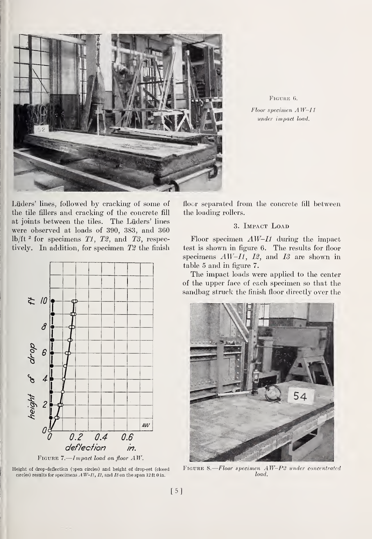

FIGURE 6.  $Floor$  specimen  $AW-II$ under impact load.

Liiders' lines, followed by cracking of some of the tile fillers and cracking of the concrete fill at joints between the tiles. The Liiders' lines were observed at loads of 390, 383, and 360 lb/ft<sup>2</sup> for specimens  $T1$ ,  $T2$ , and  $T3$ , respectively. In addition, for specimen  $T2$  the finish



FIGURE 7.—Impact load on floor  $AW$ .

Height of drop-deflecticn (open circles) and height of drop-set (closed circles) results for specimens  $A W-H$ ,  $I2$ , and  $I3$  on the span 12 ft 0 in.

floor separated from the concrete fill between the loading rollers.

### 3. Impact Load

Floor specimen  $AW-I1$  during the impact test is shown in figure 6. The results for floor specimens  $AW-I1$ ,  $I2$ , and  $I3$  are shown in table 5 and in figure 7.

The impact loads were applied to the center of the upper face of each specimen so that the sandbag struck the finish floor directly over the



FIGURE 8.-Floor specimen AW-P2 under concentrated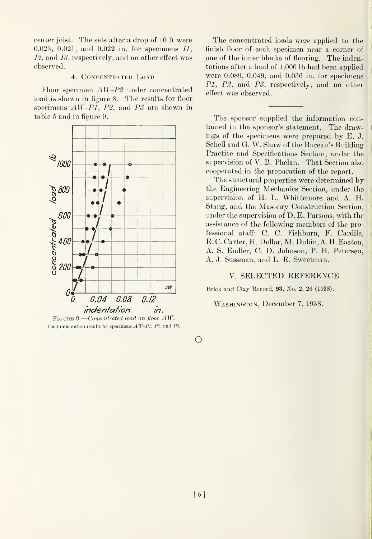center joist. The sets after a drop of 10 ft were 0.023, 0.021, and 0.022 in. for specimens II, 12, and 13, respectively, and no other effect was observed.

#### 4. Concentrated Load

Floor specimen AW-P2 under concentrated load is shown in figure 8. The results for floor specimens  $AW-P1$ ,  $P2$ , and  $P3$  are shown in table 5 and in figure 9.



FIGURE 9.—Concentrated load on floor AW. Load-indentation results for specimens  $AW-P1$ ,  $P2$ , and  $P3$ .

The concentrated loads were applied to the finish floor of each specimen near a corner of one of the inner blocks of flooring. The indentations after a load of <sup>1</sup> ,000 lb had been applied were 0.089, 0.049, and 0.036 in. for specimens PI, P2, and P3, respectively, and no other effect was observed.

The sponsor supplied the information contained in the sponsor's statement. The drawings of the specimens were prepared by E. J. Schell and G. W. Shaw of the Bureau's Building Practice and Specifications Section, under the supervision of V. B. Phelan. That Section also cooperated in the preparation of the report.

The structural properties were determined by the Engineering Mechanics Section, under the supervision of H. L. Whittemore and A. H. Stang, and the Masonry Construction Section, under the supervision of D. E. Parsons, with the assistance of the following members of the professional staff: C. C. Fishburn, F. Cardile, R. C. Carter, H. DoUar, M. Dubin, A. H. Easton, A. S. Endler, C. D. Jolmson, P. H. Petersen, A. J. Sussman, and L. R. Sweetman.

## V. SELECTED REFERENCE

Brick and Clay Record, 93, No. 2, 26 (1938).

### Washington, December 7, 1938.

o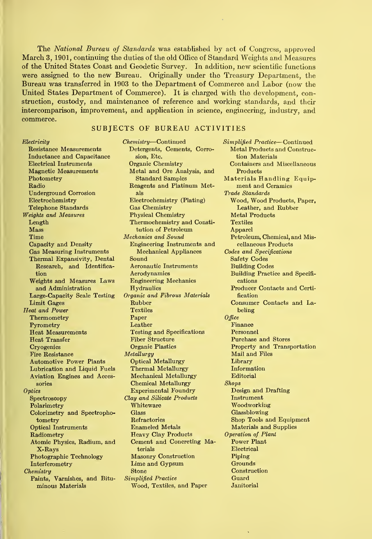The National Bureau of Standards was established by act of Congress, approved March 3, 1901, continuing the duties of the old Office of Standard Weights and Measures of the United States Coast and Geodetic Survey. In addition, new scientific functions were assigned to the new Bureau. Originally under the Treasury Department, the Bureau was transferred in 1903 to the Department of Commerce and Labor (now the United States Department of Commerce). It is charged with the development, construction, custody, and maintenance of reference and working standards, and their intercomparison, improvement, and application in science, engineering, industry, and commerce.

#### SUBJECTS OF BUREAU ACTIVITIES

| $\emph{Electrically}$            | U |
|----------------------------------|---|
| Resistance Measurements          |   |
| Inductance and Capacitance       |   |
| <b>Electrical Instruments</b>    |   |
| <b>Magnetic Measurements</b>     |   |
| Photometry                       |   |
|                                  |   |
| Radio                            |   |
| <b>Underground Corrosion</b>     |   |
| Electrochemistry                 |   |
| Telephone Standards              |   |
| Weights and Measures             |   |
| Length                           |   |
| $\rm{Mass}$                      |   |
| Time                             | M |
| Capacity and Density             |   |
| <b>Gas Measuring Instruments</b> |   |
| Thermal Expansivity, Dental      |   |
| Research, and Identifica-        |   |
| tion                             |   |
| Weights and Measures Laws        |   |
| and Administration               |   |
|                                  |   |
| Large-Capacity Scale Testing     | 0 |
| Limit Gages                      |   |
| <b>Heat and Power</b>            |   |
| Thermometry                      |   |
| Pyrometry                        |   |
| <b>Heat Measurements</b>         |   |
| <b>Heat Transfer</b>             |   |
| Cryogenics                       |   |
| <b>Fire Resistance</b>           | Λ |
| <b>Automotive Power Plants</b>   |   |
| Lubrication and Liquid Fuels     |   |
| Aviation Engines and Acces-      |   |
| sories                           |   |
| $\it Optics$                     |   |
| ${\rm Spectroscopy}$             | C |
| Polarimetry                      |   |
|                                  |   |
| Colorimetry and Spectropho-      |   |
| tometry                          |   |
| <b>Optical Instruments</b>       |   |
| Radiometry                       |   |
| Atomic Physics, Radium, and      |   |
| $X$ -Rays                        |   |
| Photographic Technology          |   |
| Interferometry                   |   |
| Chemistry                        |   |
| Paints, Varnishes, and Bitu-     | S |
| minous Materials                 |   |

 $\overline{r}$  and  $\overline{r}$  and  $\overline{r}$  and  $\overline{r}$  and  $\overline{r}$ 

Chemistry—Continued Detergents, Cements, Corrosion, Etc. Organic Chemistry Metal and Ore Analysis, and Standard Samples Reagents and Platinum Metals Electrochemistry (Plating) Gas Chemistry Physical Chemistry Thermochemistry and Constitution of Petroleum Mechanics and Sound Engineering Instruments and Mechanical Appliances Sound Aeronautic Instruments Aerodynamics Engineering Mechanics Hydraulics Organic and Fibrous Materials Rubber **Textiles** Paper Leather Testing and Specifications Fiber Structure Organic Plastics **Metallurgy** Optical Metallurgy Thermal Metallurgy Mechanical Metallurgy Chemical Metallurgy Experimental Foundry Clay and Silicate Products Whiteware Glass Refractories Enameled Metals Heavy Clay Products Cement and Concreting Materials Masonry Construction Lime and Gypsum Stone Simplified Practice Wood, Textiles, and Paper

Simplified Practice—Continued Metal Products and Construction Materials Containers and Miscellaneous Products Materials Handling Equipment and Ceramics Trade Standards Wood, Wood Products, Paper, Leather, and Rubber Metal Products **Textiles** Apparel Petroleum, Chemical, and Miscellaneous Products Codes and Specifications Safety Codes Building Codes Building Practice and Specifi cations Producer Contacts and Certification Consumer Contacts and Labeling **Office** Finance Personnel Purchase and Stores Property and Transportation Mail and Files Library Information Editorial Shops Design and Drafting Instrument Woodworking Glassblowing Shop Tools and Equipment Materials and Supplies Operation of Plant Power Plant Electrical Piping Grounds Construction Guard **Janitorial**